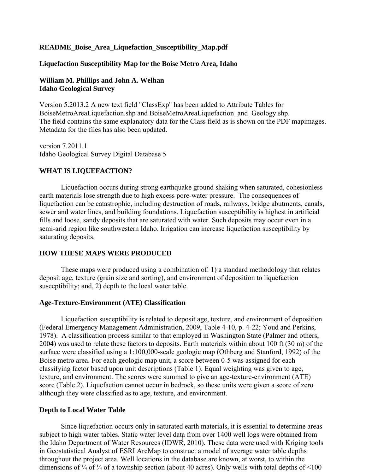### **README\_Boise\_Area\_Liquefaction\_Susceptibility\_Map.pdf**

#### **Liquefaction Susceptibility Map for the Boise Metro Area, Idaho**

### **William M. Phillips and John A. Welhan Idaho Geological Survey**

Version 5.2013.2 A new text field "ClassExp" has been added to Attribute Tables for BoiseMetroAreaLiquefaction.shp and BoiseMetroAreaLiquefaction\_and\_Geology.shp. The field contains the same explanatory data for the Class field as is shown on the PDF mapimages. Metadata for the files has also been updated.

version 7.2011.1 Idaho Geological Survey Digital Database 5

### **WHAT IS LIQUEFACTION?**

 Liquefaction occurs during strong earthquake ground shaking when saturated, cohesionless earth materials lose strength due to high excess pore-water pressure. The consequences of liquefaction can be catastrophic, including destruction of roads, railways, bridge abutments, canals, sewer and water lines, and building foundations. Liquefaction susceptibility is highest in artificial fills and loose, sandy deposits that are saturated with water. Such deposits may occur even in a semi-arid region like southwestern Idaho. Irrigation can increase liquefaction susceptibility by saturating deposits.

#### **HOW THESE MAPS WERE PRODUCED**

 These maps were produced using a combination of: 1) a standard methodology that relates deposit age, texture (grain size and sorting), and environment of deposition to liquefaction susceptibility; and, 2) depth to the local water table.

#### **Age-Texture-Environment (ATE) Classification**

 Liquefaction susceptibility is related to deposit age, texture, and environment of deposition (Federal Emergency Management Administration, 2009, Table 4-10, p. 4-22; Youd and Perkins, 1978). A classification process similar to that employed in Washington State (Palmer and others, 2004) was used to relate these factors to deposits. Earth materials within about 100 ft (30 m) of the surface were classified using a 1:100,000-scale geologic map (Othberg and Stanford, 1992) of the Boise metro area. For each geologic map unit, a score between 0-5 was assigned for each classifying factor based upon unit descriptions (Table 1). Equal weighting was given to age, texture, and environment. The scores were summed to give an age-texture-environment (ATE) score (Table 2). Liquefaction cannot occur in bedrock, so these units were given a score of zero although they were classified as to age, texture, and environment.

#### **Depth to Local Water Table**

the Idaho Department of Water Resources (IDWR, 2010). These data were used with Kriging tools Since liquefaction occurs only in saturated earth materials, it is essential to determine areas subject to high water tables. Static water level data from over 1400 well logs were obtained from in Geostatistical Analyst of ESRI ArcMap to construct a model of average water table depths throughout the project area. Well locations in the database are known, at worst, to within the dimensions of  $\frac{1}{4}$  of  $\frac{1}{4}$  of a township section (about 40 acres). Only wells with total depths of <100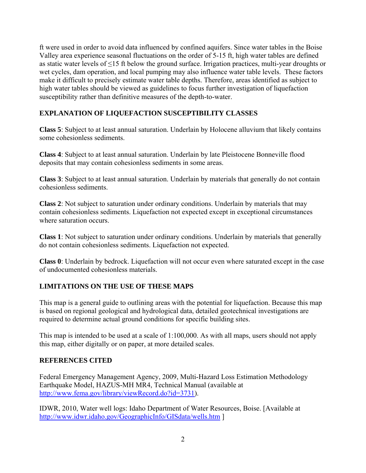ft were used in order to avoid data influenced by confined aquifers. Since water tables in the Boise Valley area experience seasonal fluctuations on the order of 5-15 ft, high water tables are defined as static water levels of ≤15 ft below the ground surface. Irrigation practices, multi-year droughts or wet cycles, dam operation, and local pumping may also influence water table levels. These factors make it difficult to precisely estimate water table depths. Therefore, areas identified as subject to high water tables should be viewed as guidelines to focus further investigation of liquefaction susceptibility rather than definitive measures of the depth-to-water.

### **EXPLANATION OF LIQUEFACTION SUSCEPTIBILITY CLASSES**

**Class 5**: Subject to at least annual saturation. Underlain by Holocene alluvium that likely contains some cohesionless sediments.

**Class 4**: Subject to at least annual saturation. Underlain by late Pleistocene Bonneville flood deposits that may contain cohesionless sediments in some areas.

**Class 3**: Subject to at least annual saturation. Underlain by materials that generally do not contain cohesionless sediments.

**Class 2**: Not subject to saturation under ordinary conditions. Underlain by materials that may contain cohesionless sediments. Liquefaction not expected except in exceptional circumstances where saturation occurs.

**Class 1**: Not subject to saturation under ordinary conditions. Underlain by materials that generally do not contain cohesionless sediments. Liquefaction not expected.

**Class 0**: Underlain by bedrock. Liquefaction will not occur even where saturated except in the case of undocumented cohesionless materials.

### **LIMITATIONS ON THE USE OF THESE MAPS**

This map is a general guide to outlining areas with the potential for liquefaction. Because this map is based on regional geological and hydrological data, detailed geotechnical investigations are required to determine actual ground conditions for specific building sites.

This map is intended to be used at a scale of 1:100,000. As with all maps, users should not apply this map, either digitally or on paper, at more detailed scales.

### **REFERENCES CITED**

Federal Emergency Management Agency, 2009, Multi-Hazard Loss Estimation Methodology Earthquake Model, HAZUS-MH MR4, Technical Manual (available at http://www.fema.gov/library/viewRecord.do?id=3731).

IDWR, 2010, Water well logs: Idaho Department of Water Resources, Boise. [Available at http://www.idwr.idaho.gov/GeographicInfo/GISdata/wells.htm ]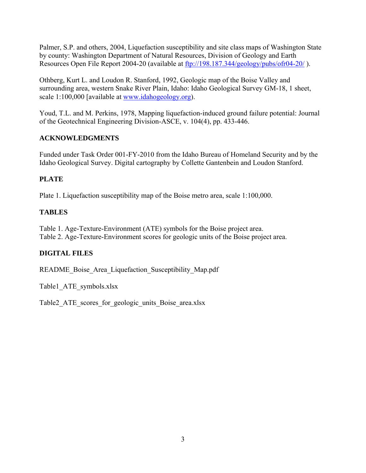Palmer, S.P. and others, 2004, Liquefaction susceptibility and site class maps of Washington State by county: Washington Department of Natural Resources, Division of Geology and Earth Resources Open File Report 2004-20 (available at ftp://198.187.344/geology/pubs/ofr04-20/ ).

Othberg, Kurt L. and Loudon R. Stanford, 1992, Geologic map of the Boise Valley and surrounding area, western Snake River Plain, Idaho: Idaho Geological Survey GM-18, 1 sheet, scale 1:100,000 [available at www.idahogeology.org).

Youd, T.L. and M. Perkins, 1978, Mapping liquefaction-induced ground failure potential: Journal of the Geotechnical Engineering Division-ASCE, v. 104(4), pp. 433-446.

### **ACKNOWLEDGMENTS**

Funded under Task Order 001-FY-2010 from the Idaho Bureau of Homeland Security and by the Idaho Geological Survey. Digital cartography by Collette Gantenbein and Loudon Stanford.

# **PLATE**

Plate 1. Liquefaction susceptibility map of the Boise metro area, scale 1:100,000.

### **TABLES**

Table 1. Age-Texture-Environment (ATE) symbols for the Boise project area. Table 2. Age-Texture-Environment scores for geologic units of the Boise project area.

# **DIGITAL FILES**

README\_Boise\_Area\_Liquefaction\_Susceptibility\_Map.pdf

Table1\_ATE\_symbols.xlsx

Table2 ATE scores for geologic units Boise area.xlsx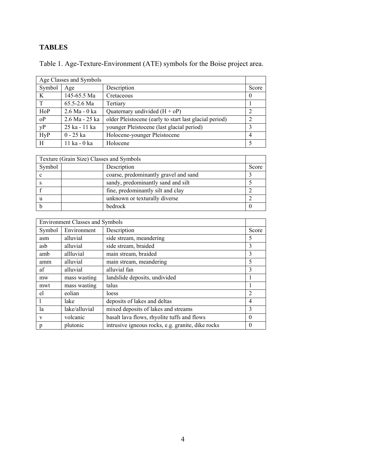# **TABLES**

| Age Classes and Symbols |                 |                                                                         |       |  |  |
|-------------------------|-----------------|-------------------------------------------------------------------------|-------|--|--|
| Symbol                  | Age             | Description                                                             | Score |  |  |
| K                       | 145-65.5 Ma     | Cretaceous                                                              |       |  |  |
| $\mathbf{T}$            | $65.5 - 2.6$ Ma | Tertiary                                                                |       |  |  |
| HoP                     | 2.6 Ma - 0 ka   | Quaternary undivided $(H + oP)$                                         |       |  |  |
| oP                      |                 | 2.6 Ma - 25 ka   older Pleistocene (early to start last glacial period) |       |  |  |

yP 25 ka - 11 ka younger Pleistocene (last glacial period) 3 HyP 0 - 25 ka Holocene-younger Pleistocene 4 H 11 ka - 0 ka Holocene 5

Table 1. Age-Texture-Environment (ATE) symbols for the Boise project area.

| Texture (Grain Size) Classes and Symbols |                                       |       |  |  |
|------------------------------------------|---------------------------------------|-------|--|--|
| Symbol                                   | Description                           | Score |  |  |
|                                          | coarse, predominantly gravel and sand |       |  |  |
|                                          | sandy, predominantly sand and silt    |       |  |  |
|                                          | fine, predominantly silt and clay     |       |  |  |
|                                          | unknown or texturally diverse         |       |  |  |
|                                          | bedrock                               |       |  |  |

| <b>Environment Classes and Symbols</b> |               |                                                   |                |  |  |
|----------------------------------------|---------------|---------------------------------------------------|----------------|--|--|
| Symbol                                 | Environment   | Description                                       |                |  |  |
| asm                                    | alluvial      | side stream, meandering                           | 5              |  |  |
| asb                                    | alluvial      | side stream, braided                              | 3              |  |  |
| amb                                    | allluvial     | main stream, braided                              | 3              |  |  |
| amm                                    | alluvial      | main stream, meandering                           | 5              |  |  |
| af                                     | alluvial      | alluvial fan                                      | 3              |  |  |
| mw                                     | mass wasting  | landslide deposits, undivided                     |                |  |  |
| mwt                                    | mass wasting  | talus                                             |                |  |  |
| el                                     | eolian        | loess                                             | $\overline{2}$ |  |  |
|                                        | lake          | deposits of lakes and deltas                      | 4              |  |  |
| la                                     | lake/alluvial | mixed deposits of lakes and streams               | 3              |  |  |
| V                                      | volcanic      | basalt lava flows, rhyolite tuffs and flows       | $\theta$       |  |  |
| p                                      | plutonic      | intrusive igneous rocks, e.g. granite, dike rocks | $\theta$       |  |  |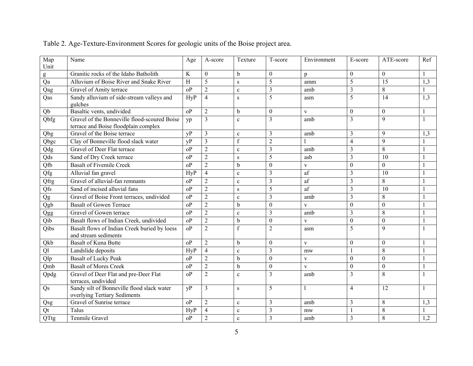| Map                     | Name                                                                                 | Age                       | A-score          | Texture          | T-score                 | Environment  | E-score          | ATE-score        | Ref          |
|-------------------------|--------------------------------------------------------------------------------------|---------------------------|------------------|------------------|-------------------------|--------------|------------------|------------------|--------------|
| Unit                    | Granitic rocks of the Idaho Batholith                                                | $\bf K$                   | $\theta$         | $\mathbf b$      | $\theta$                | p            | $\theta$         | $\theta$         | 1            |
| g<br>Qa                 | Alluvium of Boise River and Snake River                                              | $\boldsymbol{\mathrm{H}}$ | 5                | S                | 5                       | amm          | 5                | 15               | 1,3          |
|                         | Gravel of Amity terrace                                                              | oP                        | $\overline{2}$   |                  | $\overline{3}$          | amb          | $\mathfrak{Z}$   | 8                | 1            |
| Qag                     |                                                                                      | <b>HyP</b>                | $\overline{4}$   | $\mathbf c$      | 5                       |              | 5                | 14               |              |
| Qas                     | Sandy alluvium of side-stream valleys and<br>gulches                                 |                           |                  | S                |                         | asm          |                  |                  | 1,3          |
| Qb                      | Basaltic vents, undivided                                                            | o <sub>P</sub>            | $\overline{2}$   | $\mathbf b$      | $\mathbf{0}$            | $\mathbf{V}$ | $\mathbf{0}$     | $\mathbf{0}$     | $\mathbf{1}$ |
| Qbfg                    | Gravel of the Bonneville flood-scoured Boise<br>terrace and Boise floodplain complex | yp                        | $\overline{3}$   | $\mathbf{c}$     | $\overline{3}$          | amb          | $\overline{3}$   | $\overline{9}$   | $\mathbf{1}$ |
| Qbg                     | Gravel of the Boise terrace                                                          | vP                        | $\overline{3}$   | $\mathbf{c}$     | $\overline{3}$          | amb          | 3                | 9                | 1,3          |
| Qbgc                    | Clay of Bonneville flood slack water                                                 | yP                        | $\mathfrak{Z}$   | $\boldsymbol{f}$ | $\sqrt{2}$              |              | $\overline{4}$   | 9                | 1            |
| Qdg                     | Gravel of Deer Flat terrace                                                          | o <sub>P</sub>            | $\overline{2}$   | $\mathbf{c}$     | $\overline{3}$          | amb          | $\overline{3}$   | 8                | $\mathbf{1}$ |
| Qds                     | Sand of Dry Creek terrace                                                            | oP                        | $\overline{2}$   | S                | 5                       | asb          | $\overline{3}$   | 10               | $\mathbf{1}$ |
| Qfb                     | <b>Basalt of Fivemile Creek</b>                                                      | oP                        | $\overline{2}$   | b                | $\mathbf{0}$            | $\mathbf V$  | $\mathbf{0}$     | $\Omega$         | $\mathbf{1}$ |
| Qfg                     | Alluvial fan gravel                                                                  | HyP                       | $\overline{4}$   | $\mathbf c$      | $\mathfrak{Z}$          | af           | $\overline{3}$   | 10               | $\mathbf{1}$ |
| Qfrg                    | Gravel of alluvial-fan remnants                                                      | oP                        | $\overline{2}$   | $\mathbf c$      | $\mathfrak{Z}$          | af           | $\mathfrak{Z}$   | 8                | $\mathbf{1}$ |
| Qfs                     | Sand of incised alluvial fans                                                        | oP                        | $\overline{2}$   | S                | 5                       | af           | $\overline{3}$   | 10               | $\mathbf{1}$ |
| Qg                      | Gravel of Boise Front terraces, undivided                                            | oP                        | $\overline{2}$   | $\mathbf c$      | $\overline{3}$          | amb          | $\overline{3}$   | 8                | $\mathbf{1}$ |
| Qgb                     | <b>Basalt of Gowen Terrace</b>                                                       | oP                        | $\overline{2}$   | $\mathbf b$      | $\boldsymbol{0}$        | $\mathbf V$  | $\mathbf{0}$     | $\mathbf{0}$     | $\mathbf{1}$ |
| Qgg                     | Gravel of Gowen terrace                                                              | oP                        | $\overline{2}$   | $\mathbf c$      | $\mathfrak{Z}$          | amb          | $\mathfrak{Z}$   | $\,8\,$          | $\mathbf{1}$ |
| Qib                     | Basalt flows of Indian Creek, undivided                                              | oP                        | $\overline{2}$   | $\mathbf b$      | $\boldsymbol{0}$        | V            | $\mathbf{0}$     | $\mathbf{0}$     | $\mathbf{1}$ |
| Qibs                    | Basalt flows of Indian Creek buried by loess<br>and stream sediments                 | oP                        | $\overline{2}$   | $\mathbf f$      | $\overline{2}$          | asm          | 5                | 9                | $\mathbf{1}$ |
| Qkb                     | <b>Basalt of Kuna Butte</b>                                                          | o <sub>P</sub>            | $\overline{2}$   | $\mathbf b$      | $\theta$                | $\mathbf{V}$ | $\mathbf{0}$     | $\mathbf{0}$     | $\mathbf{1}$ |
| Ql                      | Landslide deposits                                                                   | HyP                       | $\overline{4}$   | $\mathbf c$      | 3                       | mw           | $\mathbf{1}$     | 8                | $\mathbf{1}$ |
| $\mathop{\mathrm{Qlp}}$ | <b>Basalt of Lucky Peak</b>                                                          | oP                        | $\overline{2}$   | $\mathbf b$      | $\boldsymbol{0}$        | $\mathbf{V}$ | $\boldsymbol{0}$ | $\mathbf{0}$     | 1            |
| Qmb                     | <b>Basalt of Mores Creek</b>                                                         | oP                        | $\boldsymbol{2}$ | $\mathbf b$      | $\boldsymbol{0}$        | $\mathbf{V}$ | $\boldsymbol{0}$ | $\boldsymbol{0}$ | $\mathbf{1}$ |
| Qpdg                    | Gravel of Deer Flat and pre-Deer Flat<br>terraces, undivided                         | oP                        | $\overline{2}$   | $\mathbf{c}$     | $\overline{3}$          | amb          | 3                | 8                | $\mathbf{1}$ |
| Qs                      | Sandy silt of Bonneville flood slack water<br>overlying Tertiary Sediments           | vP                        | 3                | $\,$ S           | 5                       |              | $\overline{4}$   | 12               | 1            |
| Qsg                     | Gravel of Sunrise terrace                                                            | o <sub>P</sub>            | $\overline{2}$   | $\mathbf c$      | $\mathfrak{Z}$          | amb          | 3                | 8                | 1,3          |
| Qt                      | Talus                                                                                | HvP                       | $\overline{4}$   | $\mathbf c$      | 3                       | mw           | $\mathbf{1}$     | 8                | $\mathbf{1}$ |
| QTtg                    | Tenmile Gravel                                                                       | oP                        | $\overline{2}$   | $\mathbf c$      | $\overline{\mathbf{3}}$ | amb          | 3                | 8                | 1,2          |

# Table 2. Age-Texture-Environment Scores for geologic units of the Boise project area.